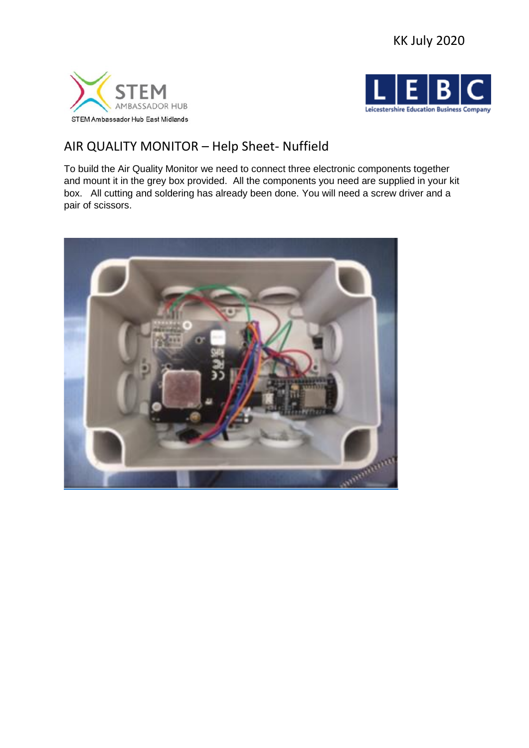





# AIR QUALITY MONITOR – Help Sheet- Nuffield

To build the Air Quality Monitor we need to connect three electronic components together and mount it in the grey box provided. All the components you need are supplied in your kit box. All cutting and soldering has already been done. You will need a screw driver and a pair of scissors.

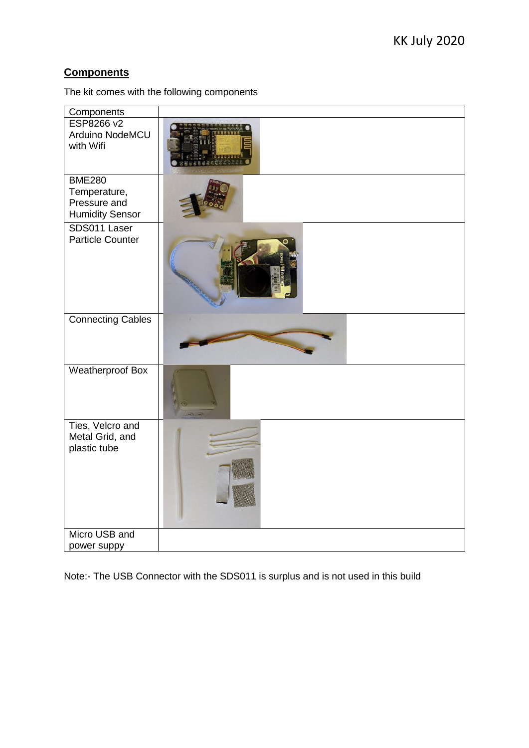# **Components**

The kit comes with the following components

| Components                          |  |
|-------------------------------------|--|
| ESP8266 v2<br>Arduino NodeMCU       |  |
| with Wifi                           |  |
|                                     |  |
| <b>BME280</b>                       |  |
| Temperature,<br>Pressure and        |  |
| <b>Humidity Sensor</b>              |  |
| SDS011 Laser                        |  |
| <b>Particle Counter</b>             |  |
|                                     |  |
| <b>Connecting Cables</b>            |  |
|                                     |  |
| <b>Weatherproof Box</b>             |  |
| Ties, Velcro and<br>Metal Grid, and |  |
| plastic tube                        |  |
|                                     |  |
|                                     |  |
|                                     |  |
|                                     |  |
| Micro USB and                       |  |
| power suppy                         |  |

Note:- The USB Connector with the SDS011 is surplus and is not used in this build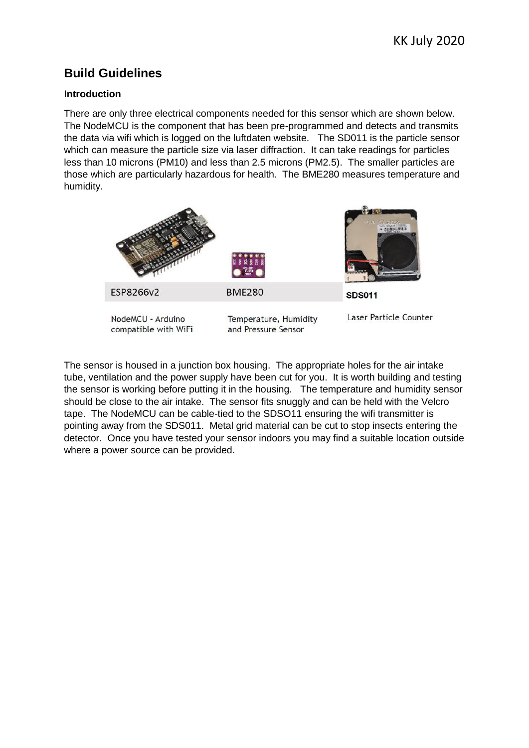# **Build Guidelines**

### I**ntroduction**

There are only three electrical components needed for this sensor which are shown below. The NodeMCU is the component that has been pre-programmed and detects and transmits the data via wifi which is logged on the luftdaten website. The SD011 is the particle sensor which can measure the particle size via laser diffraction. It can take readings for particles less than 10 microns (PM10) and less than 2.5 microns (PM2.5). The smaller particles are those which are particularly hazardous for health. The BME280 measures temperature and humidity.



The sensor is housed in a junction box housing. The appropriate holes for the air intake tube, ventilation and the power supply have been cut for you. It is worth building and testing the sensor is working before putting it in the housing. The temperature and humidity sensor should be close to the air intake. The sensor fits snuggly and can be held with the Velcro tape. The NodeMCU can be cable-tied to the SDSO11 ensuring the wifi transmitter is pointing away from the SDS011. Metal grid material can be cut to stop insects entering the detector. Once you have tested your sensor indoors you may find a suitable location outside where a power source can be provided.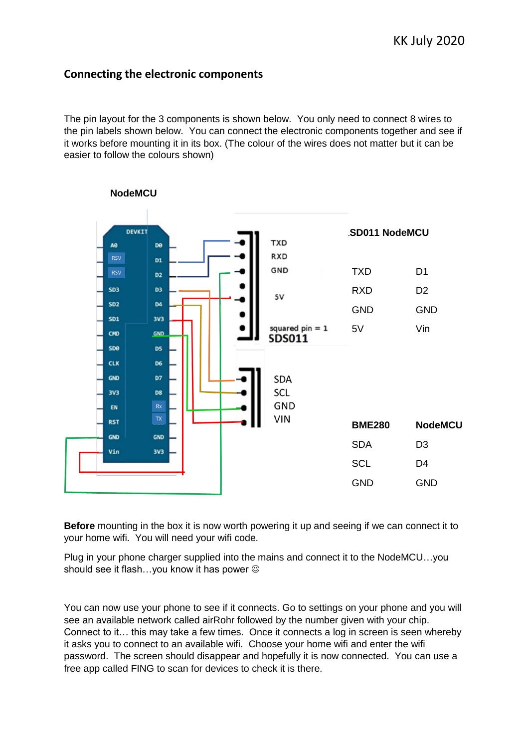## **Connecting the electronic components**

The pin layout for the 3 components is shown below. You only need to connect 8 wires to the pin labels shown below. You can connect the electronic components together and see if it works before mounting it in its box. (The colour of the wires does not matter but it can be easier to follow the colours shown)



 **NodeMCU**

**Before** mounting in the box it is now worth powering it up and seeing if we can connect it to your home wifi. You will need your wifi code.

Plug in your phone charger supplied into the mains and connect it to the NodeMCU…you should see it flash...you know it has power  $\odot$ 

You can now use your phone to see if it connects. Go to settings on your phone and you will see an available network called airRohr followed by the number given with your chip. Connect to it… this may take a few times. Once it connects a log in screen is seen whereby it asks you to connect to an available wifi. Choose your home wifi and enter the wifi password. The screen should disappear and hopefully it is now connected. You can use a free app called FING to scan for devices to check it is there.